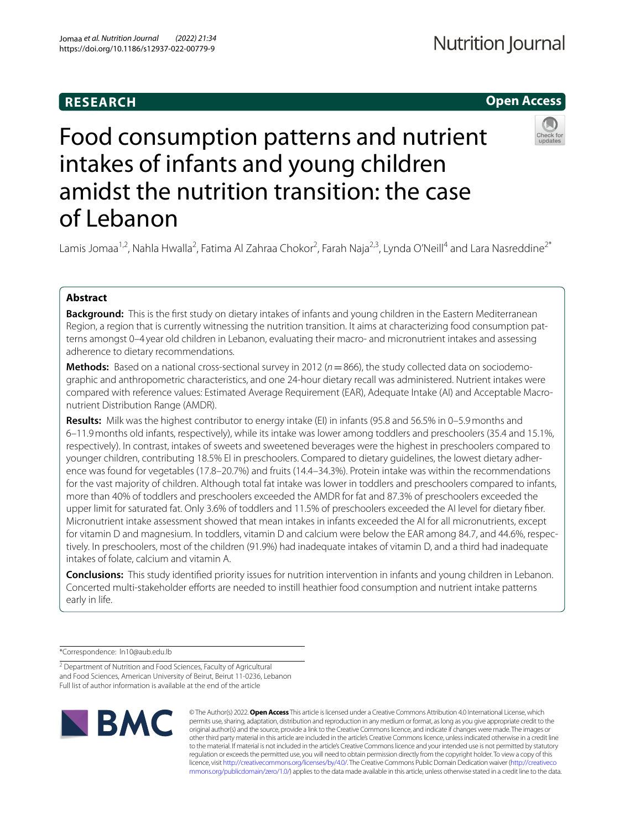# **RESEARCH**

# **Open Access**

# Food consumption patterns and nutrient intakes of infants and young children amidst the nutrition transition: the case of Lebanon

Lamis Jomaa<sup>1,2</sup>, Nahla Hwalla<sup>2</sup>, Fatima Al Zahraa Chokor<sup>2</sup>, Farah Naja<sup>2,3</sup>, Lynda O'Neill<sup>4</sup> and Lara Nasreddine<sup>2\*</sup>

## **Abstract**

**Background:** This is the frst study on dietary intakes of infants and young children in the Eastern Mediterranean Region, a region that is currently witnessing the nutrition transition. It aims at characterizing food consumption patterns amongst 0–4 year old children in Lebanon, evaluating their macro- and micronutrient intakes and assessing adherence to dietary recommendations.

**Methods:** Based on a national cross-sectional survey in 2012 (*n*=866), the study collected data on sociodemographic and anthropometric characteristics, and one 24-hour dietary recall was administered. Nutrient intakes were compared with reference values: Estimated Average Requirement (EAR), Adequate Intake (AI) and Acceptable Macronutrient Distribution Range (AMDR).

**Results:** Milk was the highest contributor to energy intake (EI) in infants (95.8 and 56.5% in 0–5.9months and 6–11.9months old infants, respectively), while its intake was lower among toddlers and preschoolers (35.4 and 15.1%, respectively). In contrast, intakes of sweets and sweetened beverages were the highest in preschoolers compared to younger children, contributing 18.5% EI in preschoolers. Compared to dietary guidelines, the lowest dietary adherence was found for vegetables (17.8–20.7%) and fruits (14.4–34.3%). Protein intake was within the recommendations for the vast majority of children. Although total fat intake was lower in toddlers and preschoolers compared to infants, more than 40% of toddlers and preschoolers exceeded the AMDR for fat and 87.3% of preschoolers exceeded the upper limit for saturated fat. Only 3.6% of toddlers and 11.5% of preschoolers exceeded the AI level for dietary fber. Micronutrient intake assessment showed that mean intakes in infants exceeded the AI for all micronutrients, except for vitamin D and magnesium. In toddlers, vitamin D and calcium were below the EAR among 84.7, and 44.6%, respectively. In preschoolers, most of the children (91.9%) had inadequate intakes of vitamin D, and a third had inadequate intakes of folate, calcium and vitamin A.

**Conclusions:** This study identifed priority issues for nutrition intervention in infants and young children in Lebanon. Concerted multi-stakeholder efforts are needed to instill heathier food consumption and nutrient intake patterns early in life.

\*Correspondence: ln10@aub.edu.lb

<sup>2</sup> Department of Nutrition and Food Sciences, Faculty of Agricultural and Food Sciences, American University of Beirut, Beirut 11-0236, Lebanon Full list of author information is available at the end of the article



© The Author(s) 2022. **Open Access** This article is licensed under a Creative Commons Attribution 4.0 International License, which permits use, sharing, adaptation, distribution and reproduction in any medium or format, as long as you give appropriate credit to the original author(s) and the source, provide a link to the Creative Commons licence, and indicate if changes were made. The images or other third party material in this article are included in the article's Creative Commons licence, unless indicated otherwise in a credit line to the material. If material is not included in the article's Creative Commons licence and your intended use is not permitted by statutory regulation or exceeds the permitted use, you will need to obtain permission directly from the copyright holder. To view a copy of this licence, visit [http://creativecommons.org/licenses/by/4.0/.](http://creativecommons.org/licenses/by/4.0/) The Creative Commons Public Domain Dedication waiver ([http://creativeco](http://creativecommons.org/publicdomain/zero/1.0/) [mmons.org/publicdomain/zero/1.0/](http://creativecommons.org/publicdomain/zero/1.0/)) applies to the data made available in this article, unless otherwise stated in a credit line to the data.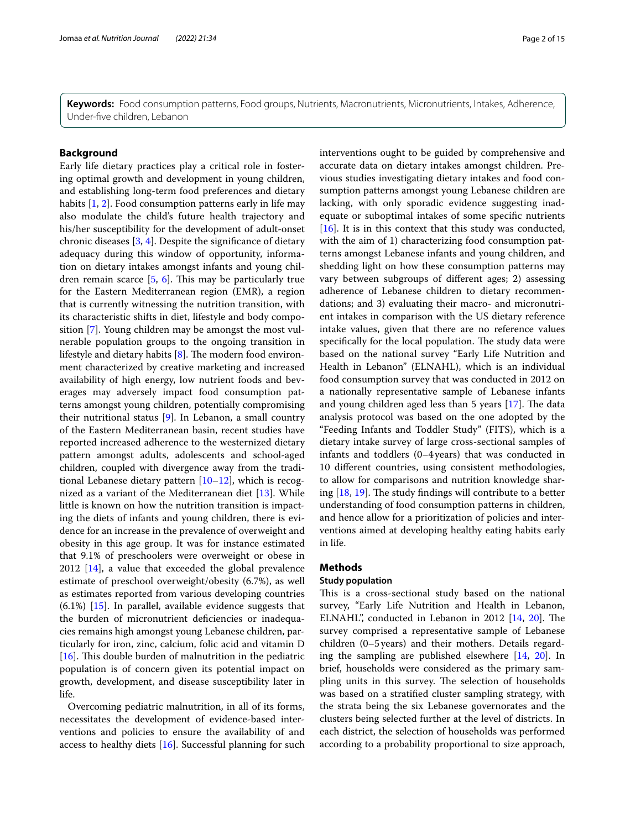**Keywords:** Food consumption patterns, Food groups, Nutrients, Macronutrients, Micronutrients, Intakes, Adherence, Under-fve children, Lebanon

### **Background**

Early life dietary practices play a critical role in fostering optimal growth and development in young children, and establishing long-term food preferences and dietary habits [\[1](#page-13-0), [2\]](#page-13-1). Food consumption patterns early in life may also modulate the child's future health trajectory and his/her susceptibility for the development of adult-onset chronic diseases [\[3](#page-13-2), [4\]](#page-13-3). Despite the signifcance of dietary adequacy during this window of opportunity, information on dietary intakes amongst infants and young children remain scarce  $[5, 6]$  $[5, 6]$  $[5, 6]$  $[5, 6]$  $[5, 6]$ . This may be particularly true for the Eastern Mediterranean region (EMR), a region that is currently witnessing the nutrition transition, with its characteristic shifts in diet, lifestyle and body composition [[7\]](#page-13-6). Young children may be amongst the most vulnerable population groups to the ongoing transition in lifestyle and dietary habits  $[8]$  $[8]$ . The modern food environment characterized by creative marketing and increased availability of high energy, low nutrient foods and beverages may adversely impact food consumption patterns amongst young children, potentially compromising their nutritional status [[9\]](#page-13-8). In Lebanon, a small country of the Eastern Mediterranean basin, recent studies have reported increased adherence to the westernized dietary pattern amongst adults, adolescents and school-aged children, coupled with divergence away from the traditional Lebanese dietary pattern  $[10-12]$  $[10-12]$  $[10-12]$ , which is recognized as a variant of the Mediterranean diet [\[13\]](#page-13-11). While little is known on how the nutrition transition is impacting the diets of infants and young children, there is evidence for an increase in the prevalence of overweight and obesity in this age group. It was for instance estimated that 9.1% of preschoolers were overweight or obese in 2012 [[14\]](#page-13-12), a value that exceeded the global prevalence estimate of preschool overweight/obesity (6.7%), as well as estimates reported from various developing countries (6.1%) [\[15\]](#page-13-13). In parallel, available evidence suggests that the burden of micronutrient defciencies or inadequacies remains high amongst young Lebanese children, particularly for iron, zinc, calcium, folic acid and vitamin D [ $16$ ]. This double burden of malnutrition in the pediatric population is of concern given its potential impact on growth, development, and disease susceptibility later in life.

Overcoming pediatric malnutrition, in all of its forms, necessitates the development of evidence-based interventions and policies to ensure the availability of and access to healthy diets [[16\]](#page-13-14). Successful planning for such interventions ought to be guided by comprehensive and accurate data on dietary intakes amongst children. Previous studies investigating dietary intakes and food consumption patterns amongst young Lebanese children are lacking, with only sporadic evidence suggesting inadequate or suboptimal intakes of some specifc nutrients [[16\]](#page-13-14). It is in this context that this study was conducted, with the aim of 1) characterizing food consumption patterns amongst Lebanese infants and young children, and shedding light on how these consumption patterns may vary between subgroups of diferent ages; 2) assessing adherence of Lebanese children to dietary recommendations; and 3) evaluating their macro- and micronutrient intakes in comparison with the US dietary reference intake values, given that there are no reference values specifically for the local population. The study data were based on the national survey "Early Life Nutrition and Health in Lebanon" (ELNAHL), which is an individual food consumption survey that was conducted in 2012 on a nationally representative sample of Lebanese infants and young children aged less than  $5$  years  $[17]$  $[17]$ . The data analysis protocol was based on the one adopted by the "Feeding Infants and Toddler Study" (FITS), which is a dietary intake survey of large cross-sectional samples of infants and toddlers (0–4years) that was conducted in 10 diferent countries, using consistent methodologies, to allow for comparisons and nutrition knowledge sharing  $[18, 19]$  $[18, 19]$  $[18, 19]$ . The study findings will contribute to a better understanding of food consumption patterns in children, and hence allow for a prioritization of policies and interventions aimed at developing healthy eating habits early in life.

#### **Methods**

#### **Study population**

This is a cross-sectional study based on the national survey, "Early Life Nutrition and Health in Lebanon, ELNAHL", conducted in Lebanon in 2012  $[14, 20]$  $[14, 20]$  $[14, 20]$ . The survey comprised a representative sample of Lebanese children (0–5years) and their mothers. Details regarding the sampling are published elsewhere [[14,](#page-13-12) [20\]](#page-13-18). In brief, households were considered as the primary sampling units in this survey. The selection of households was based on a stratifed cluster sampling strategy, with the strata being the six Lebanese governorates and the clusters being selected further at the level of districts. In each district, the selection of households was performed according to a probability proportional to size approach,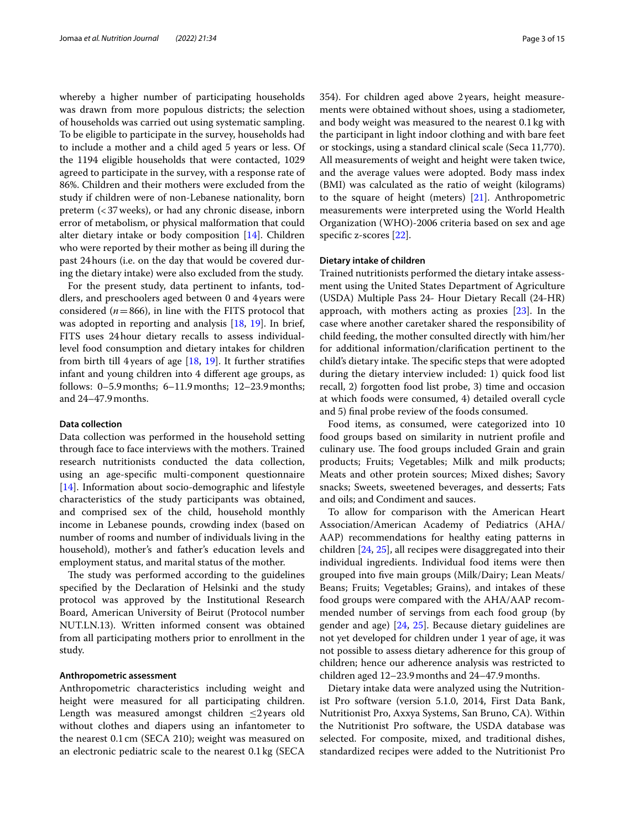whereby a higher number of participating households was drawn from more populous districts; the selection of households was carried out using systematic sampling. To be eligible to participate in the survey, households had to include a mother and a child aged 5 years or less. Of the 1194 eligible households that were contacted, 1029 agreed to participate in the survey, with a response rate of 86%. Children and their mothers were excluded from the study if children were of non-Lebanese nationality, born preterm (<37weeks), or had any chronic disease, inborn error of metabolism, or physical malformation that could alter dietary intake or body composition [\[14](#page-13-12)]. Children who were reported by their mother as being ill during the past 24hours (i.e. on the day that would be covered during the dietary intake) were also excluded from the study.

For the present study, data pertinent to infants, toddlers, and preschoolers aged between 0 and 4years were considered  $(n=866)$ , in line with the FITS protocol that was adopted in reporting and analysis [[18,](#page-13-16) [19](#page-13-17)]. In brief, FITS uses 24hour dietary recalls to assess individuallevel food consumption and dietary intakes for children from birth till 4 years of age  $[18, 19]$  $[18, 19]$  $[18, 19]$  $[18, 19]$  $[18, 19]$ . It further stratifies infant and young children into 4 diferent age groups, as follows: 0–5.9months; 6–11.9months; 12–23.9months; and 24–47.9months.

#### **Data collection**

Data collection was performed in the household setting through face to face interviews with the mothers. Trained research nutritionists conducted the data collection, using an age-specifc multi-component questionnaire [[14\]](#page-13-12). Information about socio-demographic and lifestyle characteristics of the study participants was obtained, and comprised sex of the child, household monthly income in Lebanese pounds, crowding index (based on number of rooms and number of individuals living in the household), mother's and father's education levels and employment status, and marital status of the mother.

The study was performed according to the guidelines specifed by the Declaration of Helsinki and the study protocol was approved by the Institutional Research Board, American University of Beirut (Protocol number NUT.LN.13). Written informed consent was obtained from all participating mothers prior to enrollment in the study.

#### **Anthropometric assessment**

Anthropometric characteristics including weight and height were measured for all participating children. Length was measured amongst children ≤2years old without clothes and diapers using an infantometer to the nearest 0.1cm (SECA 210); weight was measured on an electronic pediatric scale to the nearest 0.1kg (SECA 354). For children aged above 2years, height measurements were obtained without shoes, using a stadiometer, and body weight was measured to the nearest 0.1kg with the participant in light indoor clothing and with bare feet or stockings, using a standard clinical scale (Seca 11,770). All measurements of weight and height were taken twice, and the average values were adopted. Body mass index (BMI) was calculated as the ratio of weight (kilograms) to the square of height (meters) [[21](#page-13-19)]. Anthropometric measurements were interpreted using the World Health Organization (WHO)-2006 criteria based on sex and age specific z-scores [[22\]](#page-13-20).

#### **Dietary intake of children**

Trained nutritionists performed the dietary intake assessment using the United States Department of Agriculture (USDA) Multiple Pass 24- Hour Dietary Recall (24-HR) approach, with mothers acting as proxies [\[23\]](#page-13-21). In the case where another caretaker shared the responsibility of child feeding, the mother consulted directly with him/her for additional information/clarifcation pertinent to the child's dietary intake. The specific steps that were adopted during the dietary interview included: 1) quick food list recall, 2) forgotten food list probe, 3) time and occasion at which foods were consumed, 4) detailed overall cycle and 5) fnal probe review of the foods consumed.

Food items, as consumed, were categorized into 10 food groups based on similarity in nutrient profle and culinary use. The food groups included Grain and grain products; Fruits; Vegetables; Milk and milk products; Meats and other protein sources; Mixed dishes; Savory snacks; Sweets, sweetened beverages, and desserts; Fats and oils; and Condiment and sauces.

To allow for comparison with the American Heart Association/American Academy of Pediatrics (AHA/ AAP) recommendations for healthy eating patterns in children [\[24](#page-13-22), [25\]](#page-13-23), all recipes were disaggregated into their individual ingredients. Individual food items were then grouped into fve main groups (Milk/Dairy; Lean Meats/ Beans; Fruits; Vegetables; Grains), and intakes of these food groups were compared with the AHA/AAP recommended number of servings from each food group (by gender and age) [\[24](#page-13-22), [25\]](#page-13-23). Because dietary guidelines are not yet developed for children under 1 year of age, it was not possible to assess dietary adherence for this group of children; hence our adherence analysis was restricted to children aged 12–23.9months and 24–47.9months.

Dietary intake data were analyzed using the Nutritionist Pro software (version 5.1.0, 2014, First Data Bank, Nutritionist Pro, Axxya Systems, San Bruno, CA). Within the Nutritionist Pro software, the USDA database was selected. For composite, mixed, and traditional dishes, standardized recipes were added to the Nutritionist Pro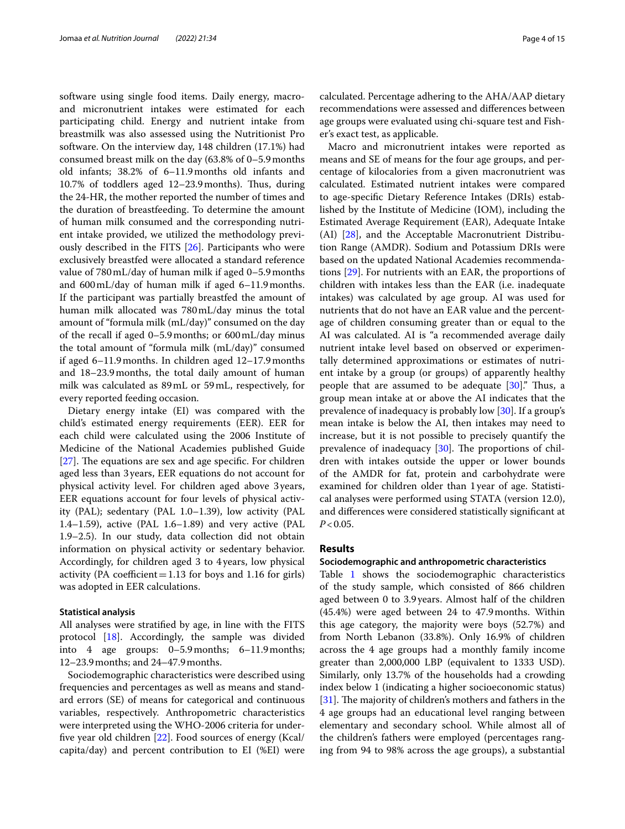software using single food items. Daily energy, macroand micronutrient intakes were estimated for each participating child. Energy and nutrient intake from breastmilk was also assessed using the Nutritionist Pro software. On the interview day, 148 children (17.1%) had consumed breast milk on the day (63.8% of 0–5.9months old infants; 38.2% of 6–11.9months old infants and 10.7% of toddlers aged 12–23.9 months). Thus, during the 24-HR, the mother reported the number of times and the duration of breastfeeding. To determine the amount of human milk consumed and the corresponding nutrient intake provided, we utilized the methodology previously described in the FITS [[26\]](#page-13-24). Participants who were exclusively breastfed were allocated a standard reference value of 780mL/day of human milk if aged 0–5.9months and 600mL/day of human milk if aged 6–11.9months. If the participant was partially breastfed the amount of human milk allocated was 780mL/day minus the total amount of "formula milk (mL/day)" consumed on the day of the recall if aged 0–5.9months; or 600mL/day minus the total amount of "formula milk (mL/day)" consumed if aged 6–11.9months. In children aged 12–17.9months and 18–23.9months, the total daily amount of human milk was calculated as 89mL or 59mL, respectively, for every reported feeding occasion.

Dietary energy intake (EI) was compared with the child's estimated energy requirements (EER). EER for each child were calculated using the 2006 Institute of Medicine of the National Academies published Guide  $[27]$  $[27]$ . The equations are sex and age specific. For children aged less than 3years, EER equations do not account for physical activity level. For children aged above 3years, EER equations account for four levels of physical activity (PAL); sedentary (PAL 1.0–1.39), low activity (PAL 1.4–1.59), active (PAL 1.6–1.89) and very active (PAL 1.9–2.5). In our study, data collection did not obtain information on physical activity or sedentary behavior. Accordingly, for children aged 3 to 4years, low physical activity (PA coefficient = 1.13 for boys and 1.16 for girls) was adopted in EER calculations.

#### **Statistical analysis**

All analyses were stratifed by age, in line with the FITS protocol [[18](#page-13-16)]. Accordingly, the sample was divided into 4 age groups: 0–5.9months; 6–11.9months; 12–23.9months; and 24–47.9months.

Sociodemographic characteristics were described using frequencies and percentages as well as means and standard errors (SE) of means for categorical and continuous variables, respectively. Anthropometric characteristics were interpreted using the WHO-2006 criteria for underfve year old children [[22](#page-13-20)]. Food sources of energy (Kcal/ capita/day) and percent contribution to EI (%EI) were calculated. Percentage adhering to the AHA/AAP dietary recommendations were assessed and diferences between age groups were evaluated using chi-square test and Fisher's exact test, as applicable.

Macro and micronutrient intakes were reported as means and SE of means for the four age groups, and percentage of kilocalories from a given macronutrient was calculated. Estimated nutrient intakes were compared to age-specifc Dietary Reference Intakes (DRIs) established by the Institute of Medicine (IOM), including the Estimated Average Requirement (EAR), Adequate Intake (AI) [\[28](#page-13-26)], and the Acceptable Macronutrient Distribution Range (AMDR). Sodium and Potassium DRIs were based on the updated National Academies recommendations [[29\]](#page-13-27). For nutrients with an EAR, the proportions of children with intakes less than the EAR (i.e. inadequate intakes) was calculated by age group. AI was used for nutrients that do not have an EAR value and the percentage of children consuming greater than or equal to the AI was calculated. AI is "a recommended average daily nutrient intake level based on observed or experimentally determined approximations or estimates of nutrient intake by a group (or groups) of apparently healthy people that are assumed to be adequate  $[30]$  $[30]$ ." Thus, a group mean intake at or above the AI indicates that the prevalence of inadequacy is probably low [[30\]](#page-13-28). If a group's mean intake is below the AI, then intakes may need to increase, but it is not possible to precisely quantify the prevalence of inadequacy  $[30]$  $[30]$ . The proportions of children with intakes outside the upper or lower bounds of the AMDR for fat, protein and carbohydrate were examined for children older than 1year of age. Statistical analyses were performed using STATA (version 12.0), and diferences were considered statistically signifcant at *P*<0.05.

#### **Results**

#### **Sociodemographic and anthropometric characteristics**

Table [1](#page-4-0) shows the sociodemographic characteristics of the study sample, which consisted of 866 children aged between 0 to 3.9 years. Almost half of the children (45.4%) were aged between 24 to 47.9months. Within this age category, the majority were boys (52.7%) and from North Lebanon (33.8%). Only 16.9% of children across the 4 age groups had a monthly family income greater than 2,000,000 LBP (equivalent to 1333 USD). Similarly, only 13.7% of the households had a crowding index below 1 (indicating a higher socioeconomic status) [ $31$ ]. The majority of children's mothers and fathers in the 4 age groups had an educational level ranging between elementary and secondary school. While almost all of the children's fathers were employed (percentages ranging from 94 to 98% across the age groups), a substantial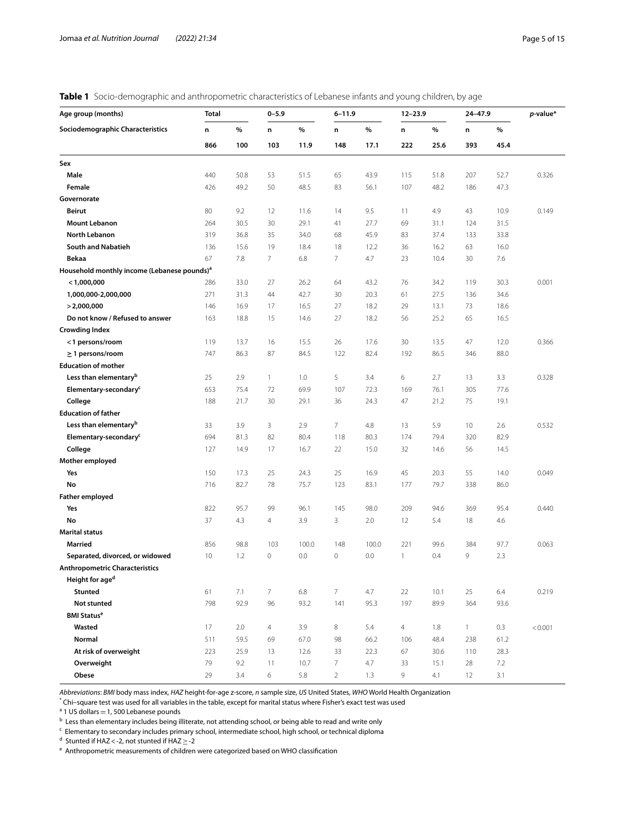<span id="page-4-0"></span>

|  |  | Table 1 Socio-demographic and anthropometric characteristics of Lebanese infants and young children, by age |  |  |  |  |
|--|--|-------------------------------------------------------------------------------------------------------------|--|--|--|--|
|--|--|-------------------------------------------------------------------------------------------------------------|--|--|--|--|

| Age group (months)                                      | <b>Total</b> |      | $0 - 5.9$      |       | $6 - 11.9$     |       | $12 - 23.9$    |      | 24-47.9      |      | $p$ -value* |
|---------------------------------------------------------|--------------|------|----------------|-------|----------------|-------|----------------|------|--------------|------|-------------|
| Sociodemographic Characteristics                        | n            | %    | n              | $\%$  | n              | $\%$  | n              | $\%$ | n            | $\%$ |             |
|                                                         | 866          | 100  | 103            | 11.9  | 148            | 17.1  | 222            | 25.6 | 393          | 45.4 |             |
| Sex                                                     |              |      |                |       |                |       |                |      |              |      |             |
| Male                                                    | 440          | 50.8 | 53             | 51.5  | 65             | 43.9  | 115            | 51.8 | 207          | 52.7 | 0.326       |
| Female                                                  | 426          | 49.2 | 50             | 48.5  | 83             | 56.1  | 107            | 48.2 | 186          | 47.3 |             |
| Governorate                                             |              |      |                |       |                |       |                |      |              |      |             |
| <b>Beirut</b>                                           | 80           | 9.2  | 12             | 11.6  | 14             | 9.5   | 11             | 4.9  | 43           | 10.9 | 0.149       |
| <b>Mount Lebanon</b>                                    | 264          | 30.5 | 30             | 29.1  | 41             | 27.7  | 69             | 31.1 | 124          | 31.5 |             |
| <b>North Lebanon</b>                                    | 319          | 36.8 | 35             | 34.0  | 68             | 45.9  | 83             | 37.4 | 133          | 33.8 |             |
| <b>South and Nabatieh</b>                               | 136          | 15.6 | 19             | 18.4  | 18             | 12.2  | 36             | 16.2 | 63           | 16.0 |             |
| Bekaa                                                   | 67           | 7.8  | $\overline{7}$ | 6.8   | $\overline{7}$ | 4.7   | 23             | 10.4 | 30           | 7.6  |             |
| Household monthly income (Lebanese pounds) <sup>a</sup> |              |      |                |       |                |       |                |      |              |      |             |
| $<$ 1,000,000                                           | 286          | 33.0 | 27             | 26.2  | 64             | 43.2  | 76             | 34.2 | 119          | 30.3 | 0.001       |
| 1,000,000-2,000,000                                     | 271          | 31.3 | 44             | 42.7  | 30             | 20.3  | 61             | 27.5 | 136          | 34.6 |             |
| > 2,000,000                                             | 146          | 16.9 | 17             | 16.5  | 27             | 18.2  | 29             | 13.1 | 73           | 18.6 |             |
| Do not know / Refused to answer                         | 163          | 18.8 | 15             | 14.6  | 27             | 18.2  | 56             | 25.2 | 65           | 16.5 |             |
| <b>Crowding Index</b>                                   |              |      |                |       |                |       |                |      |              |      |             |
| <1 persons/room                                         | 119          | 13.7 | 16             | 15.5  | 26             | 17.6  | 30             | 13.5 | 47           | 12.0 | 0.366       |
| $\geq$ 1 persons/room                                   | 747          | 86.3 | 87             | 84.5  | 122            | 82.4  | 192            | 86.5 | 346          | 88.0 |             |
| <b>Education of mother</b>                              |              |      |                |       |                |       |                |      |              |      |             |
| Less than elementary <sup>b</sup>                       | 25           | 2.9  | $\mathbf{1}$   | 1.0   | 5              | 3.4   | 6              | 2.7  | 13           | 3.3  | 0.328       |
| Elementary-secondary <sup>c</sup>                       | 653          | 75.4 | 72             | 69.9  | 107            | 72.3  | 169            | 76.1 | 305          | 77.6 |             |
| College                                                 | 188          | 21.7 | 30             | 29.1  | 36             | 24.3  | 47             | 21.2 | 75           | 19.1 |             |
| <b>Education of father</b>                              |              |      |                |       |                |       |                |      |              |      |             |
| Less than elementary <sup>b</sup>                       | 33           | 3.9  | 3              | 2.9   | $7^{\circ}$    | 4.8   | 13             | 5.9  | 10           | 2.6  | 0.532       |
| Elementary-secondary <sup>c</sup>                       | 694          | 81.3 | 82             | 80.4  | 118            | 80.3  | 174            | 79.4 | 320          | 82.9 |             |
| College                                                 | 127          | 14.9 | 17             | 16.7  | 22             | 15.0  | 32             | 14.6 | 56           | 14.5 |             |
| Mother employed                                         |              |      |                |       |                |       |                |      |              |      |             |
| Yes                                                     | 150          | 17.3 | 25             | 24.3  | 25             | 16.9  | 45             | 20.3 | 55           | 14.0 | 0.049       |
| No                                                      | 716          | 82.7 | 78             | 75.7  | 123            | 83.1  | 177            | 79.7 | 338          | 86.0 |             |
| <b>Father employed</b>                                  |              |      |                |       |                |       |                |      |              |      |             |
| Yes                                                     | 822          | 95.7 | 99             | 96.1  | 145            | 98.0  | 209            | 94.6 | 369          | 95.4 | 0.440       |
| No                                                      | 37           | 4.3  | $\overline{4}$ | 3.9   | 3              | 2.0   | 12             | 5.4  | 18           | 4.6  |             |
| <b>Marital status</b>                                   |              |      |                |       |                |       |                |      |              |      |             |
| Married                                                 | 856          | 98.8 | 103            | 100.0 | 148            | 100.0 | 221            | 99.6 | 384          | 97.7 | 0.063       |
| Separated, divorced, or widowed                         | 10           | 1.2  | 0              | 0.0   | 0              | 0.0   | 1              | 0.4  | 9            | 2.3  |             |
| <b>Anthropometric Characteristics</b>                   |              |      |                |       |                |       |                |      |              |      |             |
| Height for age <sup>d</sup>                             |              |      |                |       |                |       |                |      |              |      |             |
| <b>Stunted</b>                                          | 61           | 7.1  | $\overline{7}$ | 6.8   | 7              | 4.7   | 22             | 10.1 | 25           | 6.4  | 0.219       |
| Not stunted                                             | 798          | 92.9 | 96             | 93.2  | 141            | 95.3  | 197            | 89.9 | 364          | 93.6 |             |
| <b>BMI Status<sup>e</sup></b>                           |              |      |                |       |                |       |                |      |              |      |             |
| Wasted                                                  | 17           | 2.0  | $\overline{4}$ | 3.9   | 8              | 5.4   | $\overline{4}$ | 1.8  | $\mathbf{1}$ | 0.3  | < 0.001     |
| Normal                                                  | 511          | 59.5 | 69             | 67.0  | 98             | 66.2  | 106            | 48.4 | 238          | 61.2 |             |
| At risk of overweight                                   | 223          | 25.9 | 13             | 12.6  | 33             | 22.3  | 67             | 30.6 | 110          | 28.3 |             |
| Overweight                                              | 79           | 9.2  | 11             | 10.7  | 7              | 4.7   | 33             | 15.1 | 28           | 7.2  |             |
| Obese                                                   | 29           | 3.4  | 6              | 5.8   | $\overline{2}$ | 1.3   | 9              | 4.1  | 12           | 3.1  |             |

*Abbreviations*: *BMI* body mass index, *HAZ* height-for-age z-score, *n* sample size, *US* United States, *WHO* World Health Organization

\* Chi–square test was used for all variables in the table, except for marital status where Fisher's exact test was used

<sup>a</sup> 1 US dollars = 1, 500 Lebanese pounds<br><sup>b</sup> Less than elementary includes being i

Less than elementary includes being illiterate, not attending school, or being able to read and write only

<sup>c</sup> Elementary to secondary includes primary school, intermediate school, high school, or technical diploma

<sup>d</sup> Stunted if HAZ < -2, not stunted if HAZ ≥ -2<br>€ Anthropometric measurements of childrer

 $\,{}^{\rm e}$  Anthropometric measurements of children were categorized based on WHO classification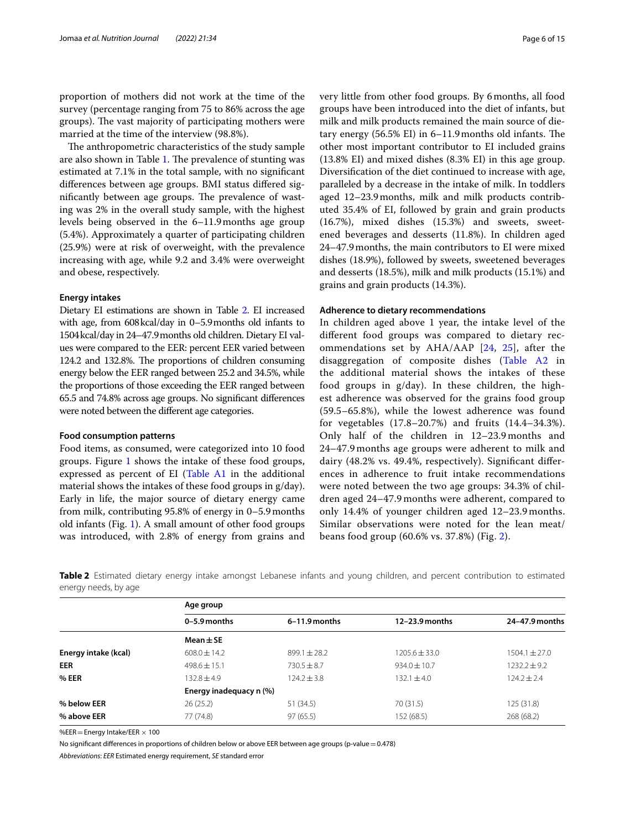proportion of mothers did not work at the time of the survey (percentage ranging from 75 to 86% across the age groups). The vast majority of participating mothers were married at the time of the interview (98.8%).

The anthropometric characteristics of the study sample are also shown in Table [1.](#page-4-0) The prevalence of stunting was estimated at 7.1% in the total sample, with no signifcant diferences between age groups. BMI status difered significantly between age groups. The prevalence of wasting was 2% in the overall study sample, with the highest levels being observed in the 6–11.9months age group (5.4%). Approximately a quarter of participating children (25.9%) were at risk of overweight, with the prevalence increasing with age, while 9.2 and 3.4% were overweight and obese, respectively.

#### **Energy intakes**

Dietary EI estimations are shown in Table [2](#page-5-0). EI increased with age, from 608kcal/day in 0–5.9months old infants to 1504kcal/day in 24–47.9months old children. Dietary EI values were compared to the EER: percent EER varied between 124.2 and 132.8%. The proportions of children consuming energy below the EER ranged between 25.2 and 34.5%, while the proportions of those exceeding the EER ranged between 65.5 and 74.8% across age groups. No signifcant diferences were noted between the diferent age categories.

#### **Food consumption patterns**

Food items, as consumed, were categorized into 10 food groups. Figure [1](#page-6-0) shows the intake of these food groups, expressed as percent of EI [\(Table A1](#page-12-0) in the additional material shows the intakes of these food groups in g/day). Early in life, the major source of dietary energy came from milk, contributing 95.8% of energy in 0–5.9months old infants (Fig. [1\)](#page-6-0). A small amount of other food groups was introduced, with 2.8% of energy from grains and

very little from other food groups. By 6months, all food groups have been introduced into the diet of infants, but milk and milk products remained the main source of dietary energy  $(56.5\%$  EI) in 6–11.9 months old infants. The other most important contributor to EI included grains (13.8% EI) and mixed dishes (8.3% EI) in this age group. Diversifcation of the diet continued to increase with age, paralleled by a decrease in the intake of milk. In toddlers aged 12–23.9months, milk and milk products contributed 35.4% of EI, followed by grain and grain products (16.7%), mixed dishes (15.3%) and sweets, sweetened beverages and desserts (11.8%). In children aged 24–47.9months, the main contributors to EI were mixed dishes (18.9%), followed by sweets, sweetened beverages and desserts (18.5%), milk and milk products (15.1%) and grains and grain products (14.3%).

#### **Adherence to dietary recommendations**

In children aged above 1 year, the intake level of the diferent food groups was compared to dietary recommendations set by AHA/AAP [[24](#page-13-22), [25](#page-13-23)], after the disaggregation of composite dishes ([Table A2](#page-12-0) in the additional material shows the intakes of these food groups in g/day). In these children, the highest adherence was observed for the grains food group (59.5–65.8%), while the lowest adherence was found for vegetables (17.8–20.7%) and fruits (14.4–34.3%). Only half of the children in 12–23.9 months and 24–47.9 months age groups were adherent to milk and dairy (48.2% vs. 49.4%, respectively). Signifcant diferences in adherence to fruit intake recommendations were noted between the two age groups: 34.3% of children aged 24–47.9 months were adherent, compared to only 14.4% of younger children aged 12–23.9 months. Similar observations were noted for the lean meat/ beans food group (60.6% vs. 37.8%) (Fig. [2\)](#page-7-0).

<span id="page-5-0"></span>**Table 2** Estimated dietary energy intake amongst Lebanese infants and young children, and percent contribution to estimated energy needs, by age

|                      | Age group               |                 |                  |                   |
|----------------------|-------------------------|-----------------|------------------|-------------------|
|                      | $0-5.9$ months          | $6-11.9$ months | $12-23.9$ months | 24-47.9 months    |
|                      | Mean $\pm$ SE           |                 |                  |                   |
| Energy intake (kcal) | $608.0 \pm 14.2$        | $899.1 + 28.2$  | $1205.6 + 33.0$  | $1504.1 \pm 27.0$ |
| <b>EER</b>           | $498.6 \pm 15.1$        | $730.5 + 8.7$   | $934.0 \pm 10.7$ | $1232.2 + 9.2$    |
| % EER                | $132.8 + 4.9$           | $124.2 + 3.8$   | $132.1 + 4.0$    | $124.2 + 2.4$     |
|                      | Energy inadequacy n (%) |                 |                  |                   |
| % below EER          | 26(25.2)                | 51 (34.5)       | 70 (31.5)        | 125(31.8)         |
| % above EER          | 77 (74.8)               | 97(65.5)        | 152 (68.5)       | 268 (68.2)        |

%EER = Energy Intake/EER  $\times$  100

No significant differences in proportions of children below or above EER between age groups (p-value = 0.478)

*Abbreviations*: *EER* Estimated energy requirement, *SE* standard error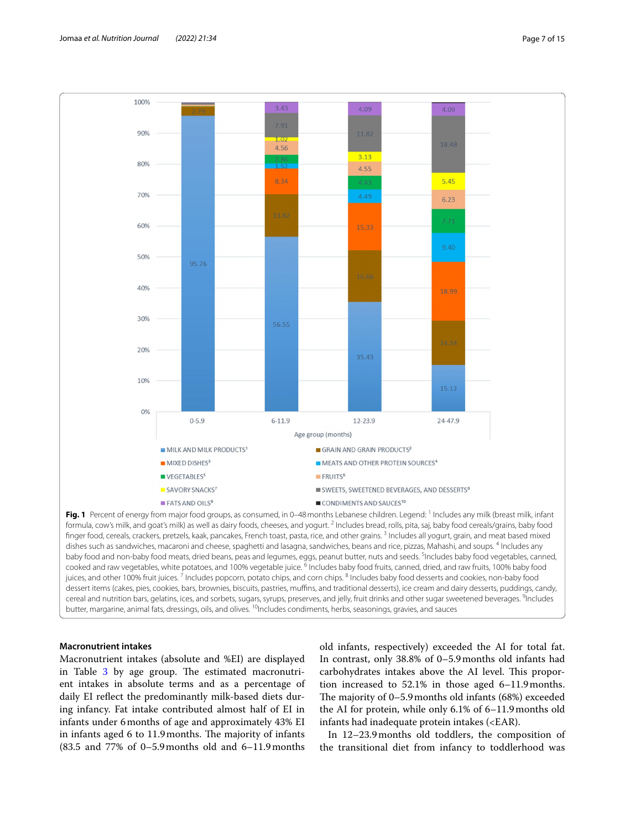

<span id="page-6-0"></span>formula, cow's milk, and goat's milk) as well as dairy foods, cheeses, and yogurt.  $^2$  Includes bread, rolls, pita, saj, baby food cereals/grains, baby food finger food, cereals, crackers, pretzels, kaak, pancakes, French toast, pasta, rice, and other grains. <sup>3</sup> Includes all yogurt, grain, and meat based mixed dishes such as sandwiches, macaroni and cheese, spaghetti and lasagna, sandwiches, beans and rice, pizzas, Mahashi, and soups. <sup>4</sup> Includes any baby food and non-baby food meats, dried beans, peas and legumes, eggs, peanut butter, nuts and seeds. <sup>5</sup>Includes baby food vegetables, canned, cooked and raw vegetables, white potatoes, and 100% vegetable juice. <sup>6</sup> Includes baby food fruits, canned, dried, and raw fruits, 100% baby food juices, and other 100% fruit juices. <sup>7</sup> Includes popcorn, potato chips, and corn chips. <sup>8</sup> Includes baby food desserts and cookies, non-baby food dessert items (cakes, pies, cookies, bars, brownies, biscuits, pastries, mufns, and traditional desserts), ice cream and dairy desserts, puddings, candy, cereal and nutrition bars, gelatins, ices, and sorbets, sugars, syrups, preserves, and jelly, fruit drinks and other sugar sweetened beverages. <sup>9</sup>Includes butter, margarine, animal fats, dressings, oils, and olives. <sup>10</sup>Includes condiments, herbs, seasonings, gravies, and sauces

### **Macronutrient intakes**

Macronutrient intakes (absolute and %EI) are displayed in Table  $3$  by age group. The estimated macronutrient intakes in absolute terms and as a percentage of daily EI refect the predominantly milk-based diets during infancy. Fat intake contributed almost half of EI in infants under 6months of age and approximately 43% EI in infants aged 6 to 11.9 months. The majority of infants (83.5 and 77% of 0–5.9months old and 6–11.9months

old infants, respectively) exceeded the AI for total fat. In contrast, only 38.8% of 0–5.9months old infants had carbohydrates intakes above the AI level. This proportion increased to 52.1% in those aged 6–11.9months. The majority of  $0-5.9$  months old infants (68%) exceeded the AI for protein, while only 6.1% of 6–11.9months old infants had inadequate protein intakes (<EAR).

In 12–23.9months old toddlers, the composition of the transitional diet from infancy to toddlerhood was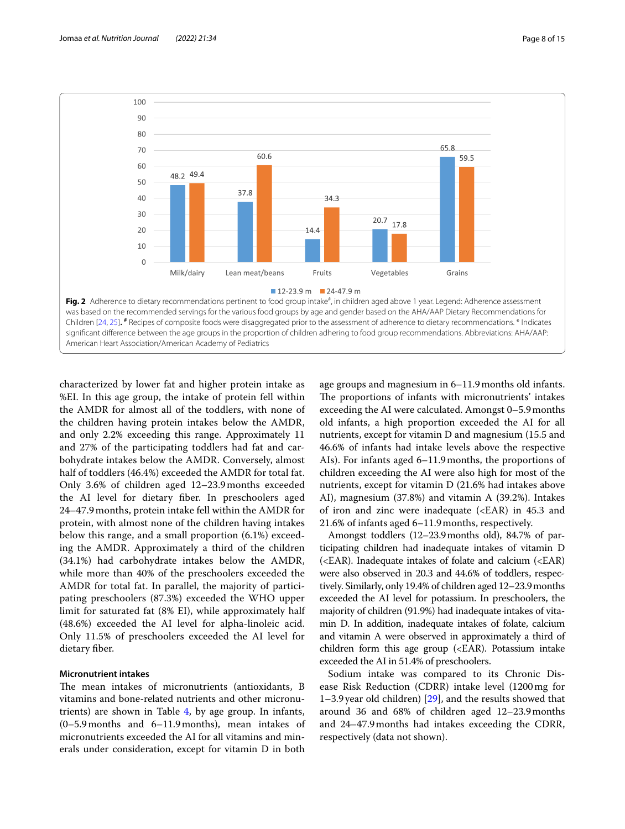

<span id="page-7-0"></span>characterized by lower fat and higher protein intake as %EI. In this age group, the intake of protein fell within the AMDR for almost all of the toddlers, with none of the children having protein intakes below the AMDR, and only 2.2% exceeding this range. Approximately 11 and 27% of the participating toddlers had fat and carbohydrate intakes below the AMDR. Conversely, almost half of toddlers (46.4%) exceeded the AMDR for total fat. Only 3.6% of children aged 12–23.9months exceeded the AI level for dietary fber. In preschoolers aged 24–47.9months, protein intake fell within the AMDR for protein, with almost none of the children having intakes below this range, and a small proportion (6.1%) exceeding the AMDR. Approximately a third of the children (34.1%) had carbohydrate intakes below the AMDR, while more than 40% of the preschoolers exceeded the AMDR for total fat. In parallel, the majority of participating preschoolers (87.3%) exceeded the WHO upper limit for saturated fat (8% EI), while approximately half (48.6%) exceeded the AI level for alpha-linoleic acid. Only 11.5% of preschoolers exceeded the AI level for dietary fber.

### **Micronutrient intakes**

The mean intakes of micronutrients (antioxidants, B vitamins and bone-related nutrients and other micronutrients) are shown in Table [4](#page-9-0), by age group. In infants, (0–5.9months and 6–11.9months), mean intakes of micronutrients exceeded the AI for all vitamins and minerals under consideration, except for vitamin D in both age groups and magnesium in 6–11.9months old infants. The proportions of infants with micronutrients' intakes exceeding the AI were calculated. Amongst 0–5.9months old infants, a high proportion exceeded the AI for all nutrients, except for vitamin D and magnesium (15.5 and 46.6% of infants had intake levels above the respective AIs). For infants aged 6–11.9months, the proportions of children exceeding the AI were also high for most of the nutrients, except for vitamin D (21.6% had intakes above AI), magnesium (37.8%) and vitamin A (39.2%). Intakes of iron and zinc were inadequate (<EAR) in 45.3 and 21.6% of infants aged 6–11.9months, respectively.

Amongst toddlers (12–23.9months old), 84.7% of participating children had inadequate intakes of vitamin D (<EAR). Inadequate intakes of folate and calcium (<EAR) were also observed in 20.3 and 44.6% of toddlers, respectively. Similarly, only 19.4% of children aged 12–23.9months exceeded the AI level for potassium. In preschoolers, the majority of children (91.9%) had inadequate intakes of vitamin D. In addition, inadequate intakes of folate, calcium and vitamin A were observed in approximately a third of children form this age group (<EAR). Potassium intake exceeded the AI in 51.4% of preschoolers.

Sodium intake was compared to its Chronic Disease Risk Reduction (CDRR) intake level (1200mg for 1–3.9year old children) [\[29](#page-13-27)], and the results showed that around 36 and 68% of children aged 12–23.9months and 24–47.9months had intakes exceeding the CDRR, respectively (data not shown).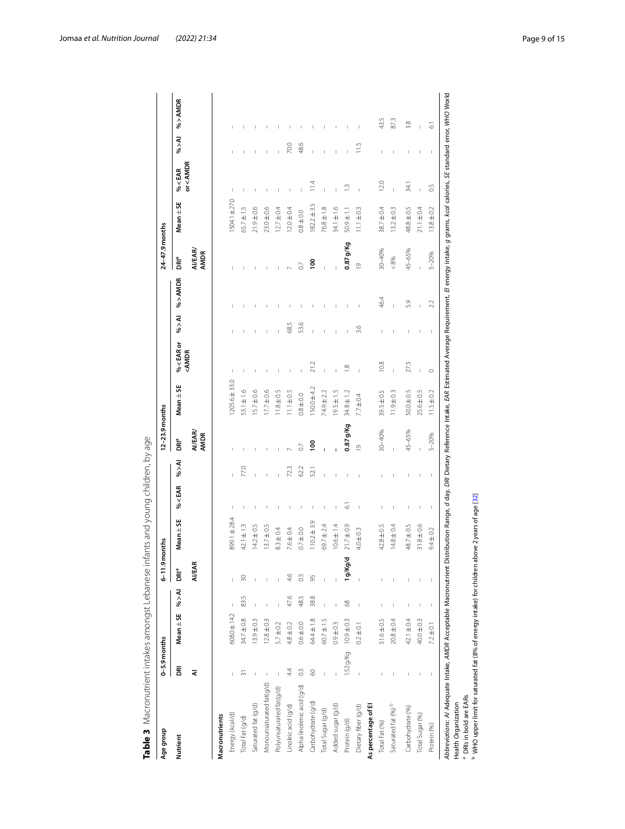<span id="page-8-0"></span>

| ;<br>; | .<br>.<br>.<br>. | j<br>$\ddot{\phantom{a}}$                                                                        | j<br>$\frac{1}{2}$                                       |
|--------|------------------|--------------------------------------------------------------------------------------------------|----------------------------------------------------------|
|        |                  | 2<br>C<br>$\frac{1}{2}$<br>$\frac{1}{2}$<br>$\mathbf$<br>ļ<br>i<br>$\overline{\phantom{a}}$<br>i | ١<br>l<br>י<br>ו<br>J<br>١<br>j<br>)<br>2<br>2<br>2<br>Ì |

| Age group                  | $0 - 5.9$ months |                |                          | $6 - 11.9$             | nonths          |                                |                          | 12-23.9 months         |                   |                                                                                                                                                                   |                                                                                                                                                                                                                                                                                                                                                      |              | $24-47.9$ months              |                 |                                            |                |                |
|----------------------------|------------------|----------------|--------------------------|------------------------|-----------------|--------------------------------|--------------------------|------------------------|-------------------|-------------------------------------------------------------------------------------------------------------------------------------------------------------------|------------------------------------------------------------------------------------------------------------------------------------------------------------------------------------------------------------------------------------------------------------------------------------------------------------------------------------------------------|--------------|-------------------------------|-----------------|--------------------------------------------|----------------|----------------|
| Nutrient                   | g                | Mean ± SE      | M < 0                    | <b>DR</b> <sup>a</sup> | Mean $\pm$ SE   | % < EAR                        | M < 0                    | <b>DRIª</b>            | Mean ± SE         | % <earor< th=""><th>M &lt; 90</th><th>% &gt; AMDR</th><th>DR<sup>a</sup></th><th>Mean ± SE</th><th>% &lt; EAR</th><th>M &lt; 96</th><th>% &gt; AMDR</th></earor<> | M < 90                                                                                                                                                                                                                                                                                                                                               | % > AMDR     | DR <sup>a</sup>               | Mean ± SE       | % < EAR                                    | M < 96         | % > AMDR       |
|                            | ⋜                |                |                          | <b>AI/EAR</b>          |                 |                                |                          | AI/EAR/<br><b>AMDR</b> |                   | <amdr< th=""><th></th><th></th><th><b>AI/EAR/</b><br/><b>AMDR</b></th><th></th><th>or<amdr< th=""><th></th><th></th></amdr<></th></amdr<>                         |                                                                                                                                                                                                                                                                                                                                                      |              | <b>AI/EAR/</b><br><b>AMDR</b> |                 | or <amdr< th=""><th></th><th></th></amdr<> |                |                |
| Macronutrients             |                  |                |                          |                        |                 |                                |                          |                        |                   |                                                                                                                                                                   |                                                                                                                                                                                                                                                                                                                                                      |              |                               |                 |                                            |                |                |
| Energy (kcal/d)            |                  | 608.0±14.2     |                          |                        | 399.1±28.4      | J.                             |                          |                        | $1205.6 \pm 33.0$ |                                                                                                                                                                   |                                                                                                                                                                                                                                                                                                                                                      |              |                               | 1504.1±27.0     | J.                                         |                |                |
| Total Fat (g/d)            | 5                | $34.7 \pm 0.8$ | 83.5                     | R                      | $42.1 \pm 1.3$  | $\overline{\phantom{a}}$       | 77.0                     |                        | $53.1 \pm 1.6$    |                                                                                                                                                                   |                                                                                                                                                                                                                                                                                                                                                      |              |                               | $65.7 \pm 1.5$  | $\mathbf{I}$                               |                |                |
| Saturated fat (g/d)        |                  | $13.9 \pm 0.3$ |                          |                        | $14.2 \pm 0.5$  | $\mathbf{I}$                   |                          |                        | $15.7 \pm 0.6$    |                                                                                                                                                                   |                                                                                                                                                                                                                                                                                                                                                      |              |                               | $21.9 \pm 0.6$  |                                            |                |                |
| Monounsaturated fat(g/d)   | $\vert$          | $12.8 \pm 0.3$ |                          |                        | $13.7 \pm 0.5$  | I                              |                          |                        | $17.7 \pm 0.6$    |                                                                                                                                                                   |                                                                                                                                                                                                                                                                                                                                                      |              |                               | $23.0 \pm 0.6$  |                                            |                |                |
| Polyunsaturated fat(g/d)   | I                | $5.7 \pm 0.2$  |                          |                        | $8.3 \pm 0.4$   | I                              |                          |                        | $11.8 \pm 0.5$    |                                                                                                                                                                   |                                                                                                                                                                                                                                                                                                                                                      |              |                               | $12.7 \pm 0.4$  |                                            |                |                |
| Linoleic acid (g/d)        | 44               | $4.8 \pm 0.2$  | 47.6                     | 4.6                    | $7.6 \pm 0.4$   | $\mathbf{I}$                   | 723                      |                        | $11.1 \pm 0.5$    |                                                                                                                                                                   | 68.5                                                                                                                                                                                                                                                                                                                                                 | I            |                               | $12.0 \pm 0.4$  |                                            | 70.0           |                |
| Alpha linolenic acid (g/d) | 0.5              | $0.6 \pm 0.0$  | 48.5                     | 0.5                    | $0.7 \pm 0.0$   | $\overline{1}$                 | 62.2                     |                        | $0.8 \pm 0.0$     |                                                                                                                                                                   | 53.6                                                                                                                                                                                                                                                                                                                                                 |              | $\overline{0}$                | $0.8 \pm 0.0$   |                                            | 48.6           |                |
| Carbohydrate (g/d)         | 8                | 64.4±1.8       | 38.8                     | 95                     | $110.2 \pm 3.9$ | J.                             | 52.1                     | S<br>0                 | $150.0 + 4.2$     | 21.2                                                                                                                                                              | $\mathbf{I}$                                                                                                                                                                                                                                                                                                                                         |              | $\frac{8}{1}$                 | $182.2 \pm 3.5$ | $\frac{114}{11}$                           |                |                |
| Total Sugar (g/d)          |                  | $60.7 \pm 1.5$ |                          |                        | $69.7 \pm 2.4$  | J.                             |                          | Ï                      | 74.9 ± 2.2        | Ï                                                                                                                                                                 | Ï                                                                                                                                                                                                                                                                                                                                                    |              | ï                             | $76.8 \pm 1.8$  |                                            |                |                |
| Added sugar (g/d)          |                  | $0.9 \pm 0.3$  | $\mathbf{I}$             |                        | $10.6 \pm 1.4$  |                                |                          |                        | $19.5 \pm 1.5$    | $\overline{1}$                                                                                                                                                    | $\overline{\phantom{a}}$                                                                                                                                                                                                                                                                                                                             | $\mathbf{I}$ |                               | 34.1±1.6        | $\overline{1}$                             |                |                |
| Protein (g/d)              | 1.52 g/Kg        | $10.9 \pm 0.3$ | 68                       | 1g/Kg/c                | $21.7 \pm 0.9$  | ं                              |                          | 0.87 g/Kg              | $34.8 \pm 1.2$    | $\frac{\infty}{\infty}$                                                                                                                                           |                                                                                                                                                                                                                                                                                                                                                      | $\mathbf{I}$ | $0.87$ g/Kg                   | $11 + 605$      | $\frac{3}{2}$                              |                |                |
| Dietary fiber (g/d)        |                  | $0.2 \pm 0.1$  |                          |                        | $4.0 \pm 0.3$   | $\mathbf{I}$                   |                          | $\frac{1}{2}$          | $7.7 \pm 0.4$     | Ţ                                                                                                                                                                 | 3.6                                                                                                                                                                                                                                                                                                                                                  | Ï            | $\overline{0}$                | $11.1 \pm 0.3$  | Ï                                          | $\frac{5}{11}$ |                |
| As percentage of El        |                  |                |                          |                        |                 |                                |                          |                        |                   |                                                                                                                                                                   |                                                                                                                                                                                                                                                                                                                                                      |              |                               |                 |                                            |                |                |
| Total Fat (%)              |                  | $51.6 \pm 0.5$ | $\overline{1}$           |                        | $42.8 \pm 0.5$  | $\mathbf{I}$                   |                          | 30-40%                 | $39.5 \pm 0.5$    | 10.8                                                                                                                                                              | $\mathbf{I}$                                                                                                                                                                                                                                                                                                                                         | 46.4         | 30-40%                        | $38.7 \pm 0.4$  | 120                                        | $\overline{1}$ | 43.5           |
| Saturated fat (%) b        |                  | $20.8 \pm 0.4$ |                          |                        | $14.8 \pm 0.4$  | $\begin{array}{c} \end{array}$ |                          |                        | $11.9 \pm 0.3$    | Ï                                                                                                                                                                 | I                                                                                                                                                                                                                                                                                                                                                    | Ï            | $<8\%$                        | $13.2 \pm 0.3$  | $\mathbf{I}$                               |                | 87.3           |
| Carbohydrate (%)           |                  | $42.1 \pm 0.4$ | $\overline{\phantom{a}}$ |                        | 48.7 ± 0.5      | $\vert$                        | $\overline{\phantom{a}}$ | 45-65%                 | $50.0 \pm 0.5$    | 27.5                                                                                                                                                              | $\mathbf{I}$                                                                                                                                                                                                                                                                                                                                         | 5.9          | 45-65%                        | $48.8 \pm 0.5$  | 34.1                                       | $\overline{1}$ | 3.8            |
| Total Sugar (%)            |                  | 40.0±0.3       |                          |                        | $31.8 \pm 0.6$  | $\mathbb I$                    |                          |                        | $25.6 \pm 0.5$    |                                                                                                                                                                   | $\mathbf{I}$                                                                                                                                                                                                                                                                                                                                         | $\mathbf{I}$ |                               | $21.1 \pm 0.4$  | $\bar{1}$                                  |                |                |
| Protein (%)                | I                | $7.2 \pm 0.1$  | I                        | I                      | $9.4 \pm 0.2$   | $\mathsf I$                    | $\mathsf I$              | $5 - 20%$              | $11.5 \pm 0.2$    | $\circ$                                                                                                                                                           | $\begin{array}{c} \rule{0.2cm}{0.15mm} \rule{0.2cm}{0.15mm} \rule{0.2cm}{0.15mm} \rule{0.2cm}{0.15mm} \rule{0.2cm}{0.15mm} \rule{0.2cm}{0.15mm} \rule{0.2cm}{0.15mm} \rule{0.2cm}{0.15mm} \rule{0.2cm}{0.15mm} \rule{0.2cm}{0.15mm} \rule{0.2cm}{0.15mm} \rule{0.2cm}{0.15mm} \rule{0.2cm}{0.15mm} \rule{0.2cm}{0.15mm} \rule{0.2cm}{0.15mm} \rule{$ | 2.2          | $5 - 20%$                     | $13.8 \pm 0.2$  | 0.5                                        | I              | $\overline{6}$ |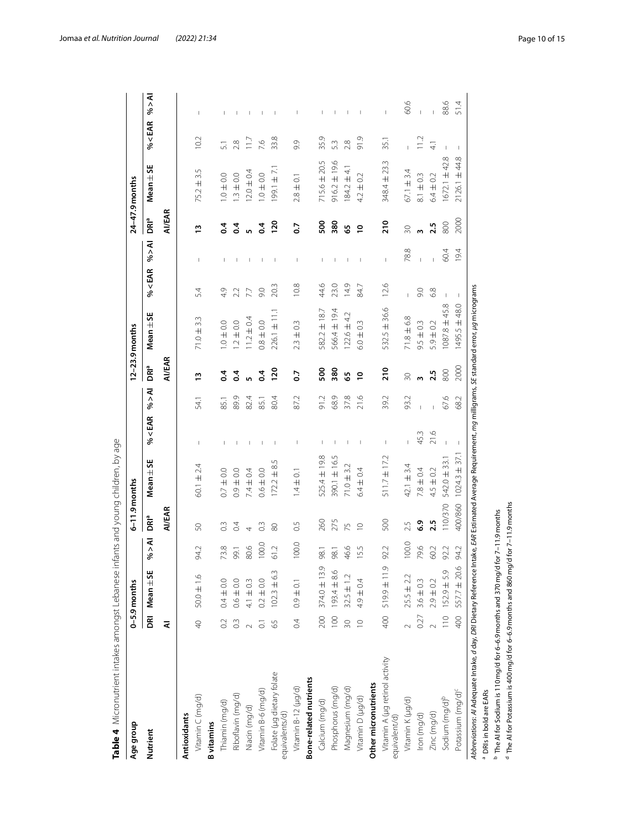| Age group                                                                                  |                  | $0 - 5.9$ months |        | $6-11.9$ months |                     |                                       |        |                | 12-23.9 months                                                                           |                |                          |                  | $24-47.9$ months  |               |                                |
|--------------------------------------------------------------------------------------------|------------------|------------------|--------|-----------------|---------------------|---------------------------------------|--------|----------------|------------------------------------------------------------------------------------------|----------------|--------------------------|------------------|-------------------|---------------|--------------------------------|
| Nutrient                                                                                   |                  | DRI Mean ± SE    | M < 96 | DR <sup>a</sup> | Mean $\pm$ SE       | % < EAR                               | M < 96 | DRIª           | Mean $\pm$ SE                                                                            | % < EAR        | M < 96                   | ์<br>DRิ°        | Mean $\pm$ SE     | % < EAR       | M < 96                         |
|                                                                                            | ₹                |                  |        | <b>AI/EAR</b>   |                     |                                       |        | <b>AI/EAR</b>  |                                                                                          |                |                          | <b>AI/EAR</b>    |                   |               |                                |
| <b>Antioxidants</b>                                                                        |                  |                  |        |                 |                     |                                       |        |                |                                                                                          |                |                          |                  |                   |               |                                |
| Vitamin C (mg/d)                                                                           | $\overline{P}$   | $50.0 \pm 1.6$   | 94.2   | SO              | $60.1 \pm 2.4$      | Т                                     | 54.1   | $\frac{1}{2}$  | $71.0 \pm 3.3$                                                                           | 5.4            | т                        | $\frac{1}{2}$    | $75.2 \pm 3.5$    | 10.2          |                                |
| <b>B</b> vitamins                                                                          |                  |                  |        |                 |                     |                                       |        |                |                                                                                          |                |                          |                  |                   |               |                                |
| Thiamin (mg/d)                                                                             | $\overline{0}$   | $0.4 \pm 0.0$    | 73.8   | $\frac{3}{2}$   | $0.7 \pm 0.0$       | $\mathbf{I}$                          | 85.1   | $\ddot{0}$     | $0.0 \pm 0.0$                                                                            | 4.9            | $\mathbf{I}$             | $\ddot{ }$       | $0.0 = 0.0$       | 51            |                                |
| Riboflavin (mg/d)                                                                          | $\frac{3}{2}$    | $0.6 \pm 0.0$    | 99.1   | 0.4             | $0.9 \pm 0.0$       |                                       | 89.9   | $\overline{0}$ | $1.2 \pm 0.0$                                                                            | 2.2            | $\overline{\phantom{a}}$ | $\sim$           | $1.3 \pm 0.0$     | 2.8           |                                |
| Niacin (mg/d)                                                                              |                  | $4.1 \pm 0.3$    | 80.6   | $\overline{4}$  | $7.4 \pm 0.4$       |                                       | 82.4   | <u>in</u>      | $11.2 \pm 0.4$                                                                           | 7.7            | T                        | 5                | $12.0 \pm 0.4$    | $\frac{1}{2}$ | $\overline{\phantom{a}}$       |
| Vitamin B-6 (mg/d)                                                                         | ៊                | $0.2 \pm 0.0$    | 100.0  | $\approx$       | $0.6 \pm 0.0$       |                                       | 85.1   | $\overline{6}$ | $0.8 \pm 0.0$                                                                            | 0.6            | П                        | $\overline{0.4}$ | $1.0 \pm 0.0$     | 7.6           |                                |
| Folate (µg dietary folate<br>equivalents/d)                                                | 59               | $102.3 \pm 6.3$  | 61.2   | $\otimes$       | ι∩<br>$172.2 \pm 8$ | $\mathbf{I}$                          | 80.4   | 120            | $226.1 \pm 11.1$                                                                         | 20.3           | $\mathbf{I}$             | <b>120</b>       | $199.1 \pm 7.1$   | 33.8          | $\mathbf{I}$                   |
| Vitamin B-12 (µg/d)                                                                        | 0.4              | $0.9 \pm 0.1$    | 100.0  | 0.5             | $1.4 \pm 0.1$       | Т                                     | 87.2   | $\overline{0}$ | $2.3 \pm 0.3$                                                                            | 10.8           | $\overline{\phantom{a}}$ | $\overline{0}$   | $2.8 \pm 0.1$     | 9.9           |                                |
| <b>Bone-related nutrients</b>                                                              |                  |                  |        |                 |                     |                                       |        |                |                                                                                          |                |                          |                  |                   |               |                                |
| Calcium (mg/d)                                                                             | 200              | $374.0 \pm 13.9$ | 98.1   | 260             | 525.4 ± 19.8        | т                                     | 91.2   | 500            | $582.2 \pm 18.7$                                                                         | 44.6           | T                        | 500              | $715.6 \pm 20.5$  | 35.9          |                                |
| Phosphorus (mg/d)                                                                          | $\overline{100}$ | $193.4 + 8.6$    | 98.1   | 275             | 390.1 ± 16.5        | $\begin{array}{c} \hline \end{array}$ | 68.9   | 380            | 566.4 ± 19.4                                                                             | 23.0           | $\mathbf{I}$             | 380              | $916.2 \pm 19.6$  | 53            |                                |
| Magnesium (mg/d)                                                                           | $\overline{30}$  | $32.5 \pm 1.2$   | 46.6   | 75              | $71.0 + 3.2$        |                                       | 37.8   | <u>ვ</u>       | $122.6 \pm 4.2$                                                                          | 14.9           | $\mathbf{I}$             | 59               | $184.2 \pm 4.1$   | 2.8           |                                |
| Vitamin D (µg/d)                                                                           | $\supseteq$      | $4.9 \pm 0.4$    | 15.5   | $\supseteq$     | $6.4 \pm 0.4$       | $\mathbf{I}$                          | 21.6   | $\overline{a}$ | $6.0 \pm 0.3$                                                                            | 84.7           | $\mathbf{I}$             | $\tilde{ }$      | $4.2 \pm 0.2$     | 91.9          |                                |
| Other micronutrients                                                                       |                  |                  |        |                 |                     |                                       |        |                |                                                                                          |                |                          |                  |                   |               |                                |
| Vitamin A (µg retinol activity<br>equivalent/d)                                            | 400              | 611 年6615        | 92.2   | 500             | $511.7 \pm 17.2$    | Т                                     | 39.2   | $\frac{1}{2}$  | 532.5 ± 36.6                                                                             | 12.6           | $\mathbb{I}$             | 210              | 348.4 ± 23.3      | 35.1          | $\begin{array}{c} \end{array}$ |
| Vitamin K (µg/d)                                                                           |                  | $25.5 \pm 2.2$   | 100.0  | 2.5             | 42.1 $\pm$ 3.4      |                                       | 93.2   | $\approx$      | $71.8 \pm 6.8$                                                                           | $\overline{1}$ | 78.8                     | $\approx$        | $67.1 \pm 3.4$    |               | 60.6                           |
| Iron (mg/d)                                                                                | 0.27             | $3.6 \pm 0.3$    | 79.6   | 6.9             | $7.8 \pm 0.4$       | 45.3                                  |        | $\mathsf{m}$   | $9.5 \pm 0.3$                                                                            | 0.6            | $\mathbf{I}$             | w                | $8.1 \pm 0.3$     | 11.2          |                                |
| Zinc (mg/d)                                                                                |                  | $2.9 \pm 0.2$    | 60.2   | 2.5             | $4.5 \pm 0.2$       | 21.6                                  |        | 2.5            | $5.9 \pm 0.2$                                                                            | 6.8            | $\overline{1}$           | 2.5              | $6.4 \pm 0.2$     | $\frac{1}{4}$ | $\mathsf I$                    |
| Sodium (mg/d) <sup>b</sup>                                                                 | $\frac{1}{2}$    | $152.9 \pm 5.9$  | 92.2   | 110/370         | $542.0 \pm 33.1$    |                                       | 67.6   | 800            | $1087.8 \pm 45.8$                                                                        | J.             | 60.4                     | 800              | $1672.1 \pm 42.8$ |               | 88.6                           |
| Potassium (mg/d) <sup>c</sup>                                                              | 400              | $557.7 \pm 20.6$ | 94.2   | 400/860         | $1024.3 \pm 37.1$   |                                       | 68.2   | 2000           | $1495.5 \pm 48.0$                                                                        |                | 19.4                     | 2000             | $2126.1 + 44.8$   | -1            | 51.4                           |
| Abbreviations: AI Adequate Intake, d day, DRI Dietary Reference In                         |                  |                  |        |                 |                     |                                       |        |                | take, EAR Estimated Average Requirement, mg milligrams, SE standard error, µg micrograms |                |                          |                  |                   |               |                                |
| <sup>a</sup> DRIs in bold are EARs                                                         |                  |                  |        |                 |                     |                                       |        |                |                                                                                          |                |                          |                  |                   |               |                                |
| <sup>b</sup> The AI for Sodium is 110 mg/d for 6-6.9 months and 370 mg/d for 7-11.9 months |                  |                  |        |                 |                     |                                       |        |                |                                                                                          |                |                          |                  |                   |               |                                |
| The AI for Potassium is 400 mg/d for 6-6.9 months and 860 mg/d for 7-11.9 months           |                  |                  |        |                 |                     |                                       |        |                |                                                                                          |                |                          |                  |                   |               |                                |

<span id="page-9-0"></span>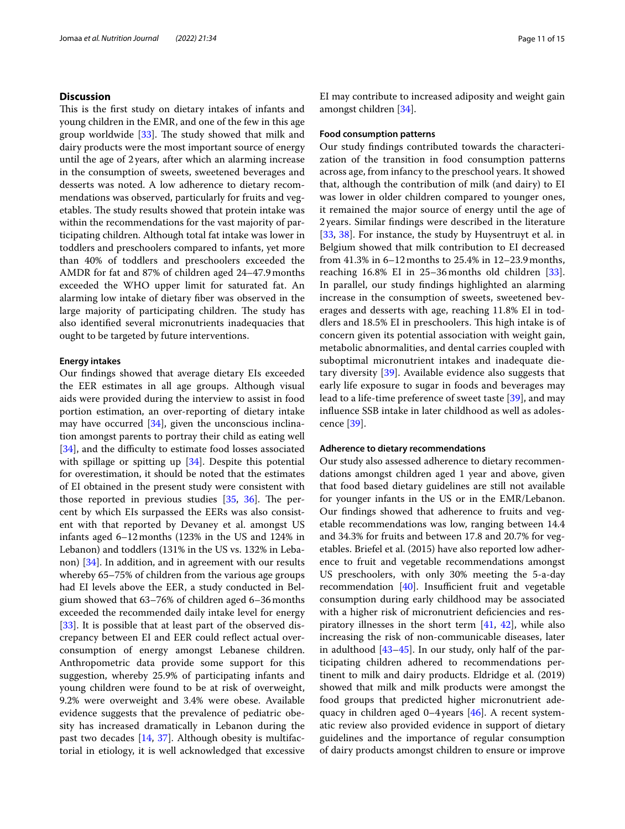#### **Discussion**

This is the first study on dietary intakes of infants and young children in the EMR, and one of the few in this age group worldwide  $[33]$  $[33]$  $[33]$ . The study showed that milk and dairy products were the most important source of energy until the age of 2 years, after which an alarming increase in the consumption of sweets, sweetened beverages and desserts was noted. A low adherence to dietary recommendations was observed, particularly for fruits and vegetables. The study results showed that protein intake was within the recommendations for the vast majority of participating children. Although total fat intake was lower in toddlers and preschoolers compared to infants, yet more than 40% of toddlers and preschoolers exceeded the AMDR for fat and 87% of children aged 24–47.9months exceeded the WHO upper limit for saturated fat. An alarming low intake of dietary fber was observed in the large majority of participating children. The study has also identifed several micronutrients inadequacies that ought to be targeted by future interventions.

#### **Energy intakes**

Our fndings showed that average dietary EIs exceeded the EER estimates in all age groups. Although visual aids were provided during the interview to assist in food portion estimation, an over-reporting of dietary intake may have occurred  $[34]$  $[34]$ , given the unconscious inclination amongst parents to portray their child as eating well [[34\]](#page-13-32), and the difficulty to estimate food losses associated with spillage or spitting up [[34\]](#page-13-32). Despite this potential for overestimation, it should be noted that the estimates of EI obtained in the present study were consistent with those reported in previous studies  $[35, 36]$  $[35, 36]$  $[35, 36]$  $[35, 36]$ . The percent by which EIs surpassed the EERs was also consistent with that reported by Devaney et al. amongst US infants aged 6–12months (123% in the US and 124% in Lebanon) and toddlers (131% in the US vs. 132% in Lebanon) [[34\]](#page-13-32). In addition, and in agreement with our results whereby 65–75% of children from the various age groups had EI levels above the EER, a study conducted in Belgium showed that 63–76% of children aged 6–36months exceeded the recommended daily intake level for energy [[33\]](#page-13-31). It is possible that at least part of the observed discrepancy between EI and EER could refect actual overconsumption of energy amongst Lebanese children. Anthropometric data provide some support for this suggestion, whereby 25.9% of participating infants and young children were found to be at risk of overweight, 9.2% were overweight and 3.4% were obese. Available evidence suggests that the prevalence of pediatric obesity has increased dramatically in Lebanon during the past two decades [[14,](#page-13-12) [37](#page-14-2)]. Although obesity is multifactorial in etiology, it is well acknowledged that excessive EI may contribute to increased adiposity and weight gain amongst children [[34](#page-13-32)].

#### **Food consumption patterns**

Our study fndings contributed towards the characterization of the transition in food consumption patterns across age, from infancy to the preschool years. It showed that, although the contribution of milk (and dairy) to EI was lower in older children compared to younger ones, it remained the major source of energy until the age of 2 years. Similar fndings were described in the literature [[33,](#page-13-31) [38](#page-14-3)]. For instance, the study by Huysentruyt et al. in Belgium showed that milk contribution to EI decreased from 41.3% in 6–12months to 25.4% in 12–23.9months, reaching 16.8% EI in 25–36months old children [\[33](#page-13-31)]. In parallel, our study fndings highlighted an alarming increase in the consumption of sweets, sweetened beverages and desserts with age, reaching 11.8% EI in toddlers and 18.5% EI in preschoolers. This high intake is of concern given its potential association with weight gain, metabolic abnormalities, and dental carries coupled with suboptimal micronutrient intakes and inadequate dietary diversity [\[39](#page-14-4)]. Available evidence also suggests that early life exposure to sugar in foods and beverages may lead to a life-time preference of sweet taste [\[39](#page-14-4)], and may infuence SSB intake in later childhood as well as adolescence [[39\]](#page-14-4).

#### **Adherence to dietary recommendations**

Our study also assessed adherence to dietary recommendations amongst children aged 1 year and above, given that food based dietary guidelines are still not available for younger infants in the US or in the EMR/Lebanon. Our fndings showed that adherence to fruits and vegetable recommendations was low, ranging between 14.4 and 34.3% for fruits and between 17.8 and 20.7% for vegetables. Briefel et al. (2015) have also reported low adherence to fruit and vegetable recommendations amongst US preschoolers, with only 30% meeting the 5-a-day recommendation  $[40]$  $[40]$ . Insufficient fruit and vegetable consumption during early childhood may be associated with a higher risk of micronutrient deficiencies and respiratory illnesses in the short term [\[41,](#page-14-6) [42](#page-14-7)], while also increasing the risk of non-communicable diseases, later in adulthood [\[43](#page-14-8)[–45\]](#page-14-9). In our study, only half of the participating children adhered to recommendations pertinent to milk and dairy products. Eldridge et al. (2019) showed that milk and milk products were amongst the food groups that predicted higher micronutrient adequacy in children aged 0–4years [[46](#page-14-10)]. A recent systematic review also provided evidence in support of dietary guidelines and the importance of regular consumption of dairy products amongst children to ensure or improve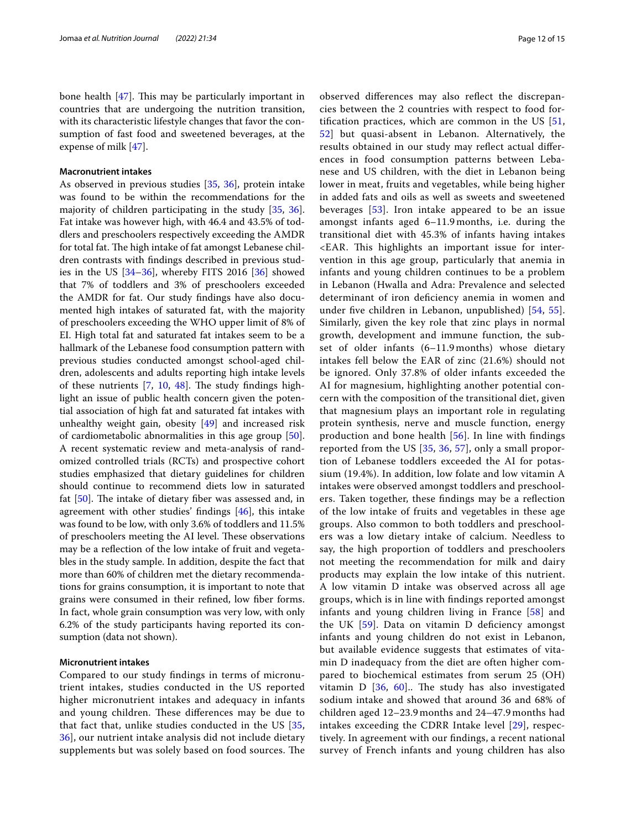bone health  $[47]$  $[47]$ . This may be particularly important in countries that are undergoing the nutrition transition, with its characteristic lifestyle changes that favor the consumption of fast food and sweetened beverages, at the expense of milk [[47\]](#page-14-11).

#### **Macronutrient intakes**

As observed in previous studies [[35](#page-14-0), [36](#page-14-1)], protein intake was found to be within the recommendations for the majority of children participating in the study [\[35](#page-14-0), [36](#page-14-1)]. Fat intake was however high, with 46.4 and 43.5% of toddlers and preschoolers respectively exceeding the AMDR for total fat. The high intake of fat amongst Lebanese children contrasts with fndings described in previous studies in the US [\[34](#page-13-32)[–36\]](#page-14-1), whereby FITS 2016 [[36](#page-14-1)] showed that 7% of toddlers and 3% of preschoolers exceeded the AMDR for fat. Our study fndings have also documented high intakes of saturated fat, with the majority of preschoolers exceeding the WHO upper limit of 8% of EI. High total fat and saturated fat intakes seem to be a hallmark of the Lebanese food consumption pattern with previous studies conducted amongst school-aged children, adolescents and adults reporting high intake levels of these nutrients  $[7, 10, 48]$  $[7, 10, 48]$  $[7, 10, 48]$  $[7, 10, 48]$  $[7, 10, 48]$ . The study findings highlight an issue of public health concern given the potential association of high fat and saturated fat intakes with unhealthy weight gain, obesity [[49](#page-14-13)] and increased risk of cardiometabolic abnormalities in this age group [\[50](#page-14-14)]. A recent systematic review and meta-analysis of randomized controlled trials (RCTs) and prospective cohort studies emphasized that dietary guidelines for children should continue to recommend diets low in saturated fat  $[50]$  $[50]$ . The intake of dietary fiber was assessed and, in agreement with other studies' fndings [\[46\]](#page-14-10), this intake was found to be low, with only 3.6% of toddlers and 11.5% of preschoolers meeting the AI level. These observations may be a refection of the low intake of fruit and vegetables in the study sample. In addition, despite the fact that more than 60% of children met the dietary recommendations for grains consumption, it is important to note that grains were consumed in their refned, low fber forms. In fact, whole grain consumption was very low, with only 6.2% of the study participants having reported its consumption (data not shown).

#### **Micronutrient intakes**

Compared to our study fndings in terms of micronutrient intakes, studies conducted in the US reported higher micronutrient intakes and adequacy in infants and young children. These differences may be due to that fact that, unlike studies conducted in the US [\[35](#page-14-0), [36\]](#page-14-1), our nutrient intake analysis did not include dietary supplements but was solely based on food sources. The observed diferences may also refect the discrepancies between the 2 countries with respect to food fortifcation practices, which are common in the US [\[51](#page-14-15), [52\]](#page-14-16) but quasi-absent in Lebanon. Alternatively, the results obtained in our study may refect actual diferences in food consumption patterns between Lebanese and US children, with the diet in Lebanon being lower in meat, fruits and vegetables, while being higher in added fats and oils as well as sweets and sweetened beverages [[53\]](#page-14-17). Iron intake appeared to be an issue amongst infants aged 6–11.9 months, i.e. during the transitional diet with 45.3% of infants having intakes <EAR. This highlights an important issue for intervention in this age group, particularly that anemia in infants and young children continues to be a problem in Lebanon (Hwalla and Adra: Prevalence and selected determinant of iron defciency anemia in women and under fve children in Lebanon, unpublished) [[54](#page-14-18), [55](#page-14-19)]. Similarly, given the key role that zinc plays in normal growth, development and immune function, the subset of older infants (6–11.9 months) whose dietary intakes fell below the EAR of zinc (21.6%) should not be ignored. Only 37.8% of older infants exceeded the AI for magnesium, highlighting another potential concern with the composition of the transitional diet, given that magnesium plays an important role in regulating protein synthesis, nerve and muscle function, energy production and bone health [[56\]](#page-14-20). In line with fndings reported from the US [[35](#page-14-0), [36](#page-14-1), [57\]](#page-14-21), only a small proportion of Lebanese toddlers exceeded the AI for potassium (19.4%). In addition, low folate and low vitamin A intakes were observed amongst toddlers and preschoolers. Taken together, these fndings may be a refection of the low intake of fruits and vegetables in these age groups. Also common to both toddlers and preschoolers was a low dietary intake of calcium. Needless to say, the high proportion of toddlers and preschoolers not meeting the recommendation for milk and dairy products may explain the low intake of this nutrient. A low vitamin D intake was observed across all age groups, which is in line with fndings reported amongst infants and young children living in France [\[58](#page-14-22)] and the UK [\[59](#page-14-23)]. Data on vitamin D defciency amongst infants and young children do not exist in Lebanon, but available evidence suggests that estimates of vitamin D inadequacy from the diet are often higher compared to biochemical estimates from serum 25 (OH) vitamin D  $[36, 60]$  $[36, 60]$  $[36, 60]$  $[36, 60]$ . The study has also investigated sodium intake and showed that around 36 and 68% of children aged 12–23.9 months and 24–47.9 months had intakes exceeding the CDRR Intake level [\[29](#page-13-27)], respectively. In agreement with our fndings, a recent national survey of French infants and young children has also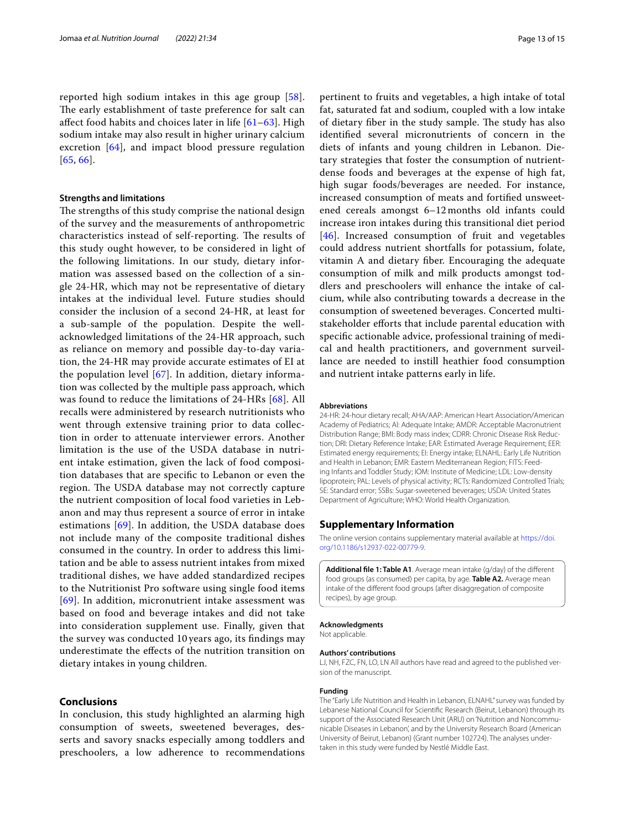reported high sodium intakes in this age group [[58\]](#page-14-22). The early establishment of taste preference for salt can afect food habits and choices later in life [\[61](#page-14-25)[–63\]](#page-14-26). High sodium intake may also result in higher urinary calcium excretion [[64](#page-14-27)], and impact blood pressure regulation [[65](#page-14-28), [66](#page-14-29)].

#### **Strengths and limitations**

The strengths of this study comprise the national design of the survey and the measurements of anthropometric characteristics instead of self-reporting. The results of this study ought however, to be considered in light of the following limitations. In our study, dietary information was assessed based on the collection of a single 24-HR, which may not be representative of dietary intakes at the individual level. Future studies should consider the inclusion of a second 24-HR, at least for a sub-sample of the population. Despite the wellacknowledged limitations of the 24-HR approach, such as reliance on memory and possible day-to-day variation, the 24-HR may provide accurate estimates of EI at the population level [\[67\]](#page-14-30). In addition, dietary information was collected by the multiple pass approach, which was found to reduce the limitations of 24-HRs [[68\]](#page-14-31). All recalls were administered by research nutritionists who went through extensive training prior to data collection in order to attenuate interviewer errors. Another limitation is the use of the USDA database in nutrient intake estimation, given the lack of food composition databases that are specifc to Lebanon or even the region. The USDA database may not correctly capture the nutrient composition of local food varieties in Lebanon and may thus represent a source of error in intake estimations [[69](#page-14-32)]. In addition, the USDA database does not include many of the composite traditional dishes consumed in the country. In order to address this limitation and be able to assess nutrient intakes from mixed traditional dishes, we have added standardized recipes to the Nutritionist Pro software using single food items [[69](#page-14-32)]. In addition, micronutrient intake assessment was based on food and beverage intakes and did not take into consideration supplement use. Finally, given that the survey was conducted 10 years ago, its fndings may underestimate the efects of the nutrition transition on dietary intakes in young children.

#### **Conclusions**

In conclusion, this study highlighted an alarming high consumption of sweets, sweetened beverages, desserts and savory snacks especially among toddlers and preschoolers, a low adherence to recommendations pertinent to fruits and vegetables, a high intake of total fat, saturated fat and sodium, coupled with a low intake of dietary fiber in the study sample. The study has also identifed several micronutrients of concern in the diets of infants and young children in Lebanon. Dietary strategies that foster the consumption of nutrientdense foods and beverages at the expense of high fat, high sugar foods/beverages are needed. For instance, increased consumption of meats and fortifed unsweetened cereals amongst 6–12 months old infants could increase iron intakes during this transitional diet period [[46](#page-14-10)]. Increased consumption of fruit and vegetables could address nutrient shortfalls for potassium, folate, vitamin A and dietary fber. Encouraging the adequate consumption of milk and milk products amongst toddlers and preschoolers will enhance the intake of calcium, while also contributing towards a decrease in the consumption of sweetened beverages. Concerted multistakeholder eforts that include parental education with specifc actionable advice, professional training of medical and health practitioners, and government surveillance are needed to instill heathier food consumption and nutrient intake patterns early in life.

#### **Abbreviations**

24-HR: 24-hour dietary recall; AHA/AAP: American Heart Association/American Academy of Pediatrics; AI: Adequate Intake; AMDR: Acceptable Macronutrient Distribution Range; BMI: Body mass index; CDRR: Chronic Disease Risk Reduction; DRI: Dietary Reference Intake; EAR: Estimated Average Requirement; EER: Estimated energy requirements; EI: Energy intake; ELNAHL: Early Life Nutrition and Health in Lebanon; EMR: Eastern Mediterranean Region; FITS: Feeding Infants and Toddler Study; IOM: Institute of Medicine; LDL: Low-density lipoprotein; PAL: Levels of physical activity; RCTs: Randomized Controlled Trials; SE: Standard error; SSBs: Sugar-sweetened beverages; USDA: United States Department of Agriculture; WHO: World Health Organization.

#### **Supplementary Information**

The online version contains supplementary material available at [https://doi.](https://doi.org/10.1186/s12937-022-00779-9) [org/10.1186/s12937-022-00779-9](https://doi.org/10.1186/s12937-022-00779-9).

<span id="page-12-0"></span>**Additional fle 1: Table A1**. Average mean intake (g/day) of the diferent food groups (as consumed) per capita, by age. **Table A2.** Average mean intake of the diferent food groups (after disaggregation of composite recipes), by age group.

#### **Acknowledgments**

Not applicable.

#### **Authors' contributions**

LJ, NH, FZC, FN, LO, LN All authors have read and agreed to the published version of the manuscript.

#### **Funding**

The "Early Life Nutrition and Health in Lebanon, ELNAHL" survey was funded by Lebanese National Council for Scientifc Research (Beirut, Lebanon) through its support of the Associated Research Unit (ARU) on 'Nutrition and Noncommunicable Diseases in Lebanon', and by the University Research Board (American University of Beirut, Lebanon) (Grant number 102724). The analyses undertaken in this study were funded by Nestlé Middle East.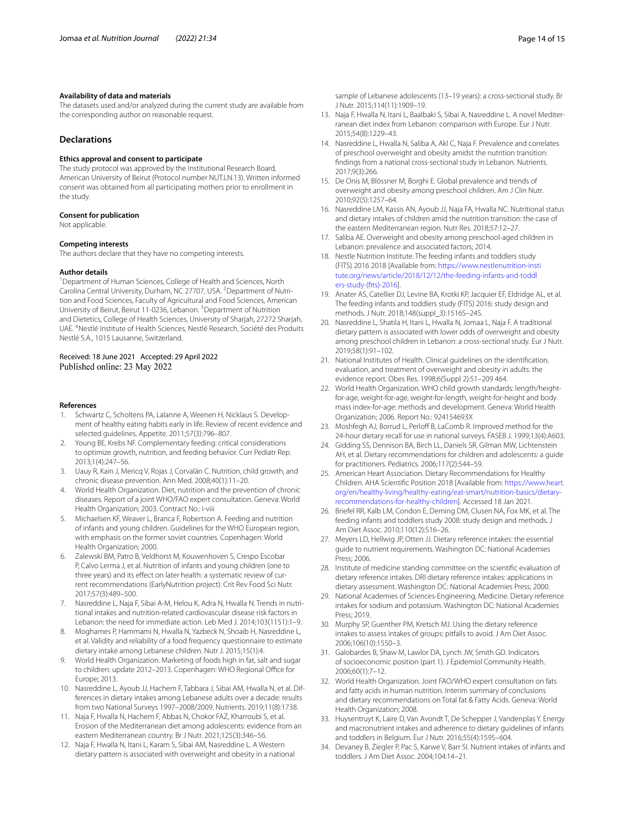#### **Availability of data and materials**

The datasets used and/or analyzed during the current study are available from the corresponding author on reasonable request.

#### **Declarations**

#### **Ethics approval and consent to participate**

The study protocol was approved by the Institutional Research Board, American University of Beirut (Protocol number NUT.LN.13). Written informed consent was obtained from all participating mothers prior to enrollment in the study.

#### **Consent for publication**

Not applicable.

#### **Competing interests**

The authors declare that they have no competing interests.

#### **Author details**

<sup>1</sup> Department of Human Sciences, College of Health and Sciences, North Carolina Central University, Durham, NC 27707, USA. <sup>2</sup> Department of Nutrition and Food Sciences, Faculty of Agricultural and Food Sciences, American University of Beirut, Beirut 11-0236, Lebanon. <sup>3</sup> Department of Nutrition and Dietetics, College of Health Sciences, University of Sharjah, 27272 Sharjah, UAE. 4 Nestlé Institute of Health Sciences, Nestlé Research, Société des Produits Nestlé S.A., 1015 Lausanne, Switzerland.

#### Received: 18 June 2021 Accepted: 29 April 2022 Published online: 23 May 2022

#### **References**

- <span id="page-13-0"></span>1. Schwartz C, Scholtens PA, Lalanne A, Weenen H, Nicklaus S. Development of healthy eating habits early in life. Review of recent evidence and selected guidelines. Appetite. 2011;57(3):796–807.
- <span id="page-13-1"></span>2. Young BE, Krebs NF. Complementary feeding: critical considerations to optimize growth, nutrition, and feeding behavior. Curr Pediatr Rep. 2013;1(4):247–56.
- <span id="page-13-2"></span>3. Uauy R, Kain J, Mericq V, Rojas J, Corvalán C. Nutrition, child growth, and chronic disease prevention. Ann Med. 2008;40(1):11–20.
- <span id="page-13-3"></span>4. World Health Organization. Diet, nutrition and the prevention of chronic diseases. Report of a joint WHO/FAO expert consultation. Geneva: World Health Organization; 2003. Contract No.: i-viii
- <span id="page-13-4"></span>5. Michaelsen KF, Weaver L, Branca F, Robertson A. Feeding and nutrition of infants and young children. Guidelines for the WHO European region, with emphasis on the former soviet countries. Copenhagen: World Health Organization; 2000.
- <span id="page-13-5"></span>6. Zalewski BM, Patro B, Veldhorst M, Kouwenhoven S, Crespo Escobar P, Calvo Lerma J, et al. Nutrition of infants and young children (one to three years) and its effect on later health: a systematic review of current recommendations (EarlyNutrition project). Crit Rev Food Sci Nutr. 2017;57(3):489–500.
- <span id="page-13-6"></span>7. Nasreddine L, Naja F, Sibai A-M, Helou K, Adra N, Hwalla N. Trends in nutritional intakes and nutrition-related cardiovascular disease risk factors in Lebanon: the need for immediate action. Leb Med J. 2014;103(1151):1–9.
- <span id="page-13-7"></span>8. Moghames P, Hammami N, Hwalla N, Yazbeck N, Shoaib H, Nasreddine L, et al. Validity and reliability of a food frequency questionnaire to estimate dietary intake among Lebanese children. Nutr J. 2015;15(1):4.
- <span id="page-13-8"></span>9. World Health Organization. Marketing of foods high in fat, salt and sugar to children: update 2012-2013. Copenhagen: WHO Regional Office for Europe; 2013.
- <span id="page-13-9"></span>10. Nasreddine L, Ayoub JJ, Hachem F, Tabbara J, Sibai AM, Hwalla N, et al. Differences in dietary intakes among Lebanese adults over a decade: results from two National Surveys 1997–2008/2009. Nutrients. 2019;11(8):1738.
- 11. Naja F, Hwalla N, Hachem F, Abbas N, Chokor FAZ, Kharroubi S, et al. Erosion of the Mediterranean diet among adolescents: evidence from an eastern Mediterranean country. Br J Nutr. 2021;125(3):346–56.
- <span id="page-13-10"></span>12. Naja F, Hwalla N, Itani L, Karam S, Sibai AM, Nasreddine L. A Western dietary pattern is associated with overweight and obesity in a national

sample of Lebanese adolescents (13–19 years): a cross-sectional study. Br J Nutr. 2015;114(11):1909–19.

- <span id="page-13-11"></span>13. Naja F, Hwalla N, Itani L, Baalbaki S, Sibai A, Nasreddine L. A novel Mediterranean diet index from Lebanon: comparison with Europe. Eur J Nutr. 2015;54(8):1229–43.
- <span id="page-13-12"></span>14. Nasreddine L, Hwalla N, Saliba A, Akl C, Naja F. Prevalence and correlates of preschool overweight and obesity amidst the nutrition transition: fndings from a national cross-sectional study in Lebanon. Nutrients. 2017;9(3):266.
- <span id="page-13-13"></span>15. De Onis M, Blössner M, Borghi E. Global prevalence and trends of overweight and obesity among preschool children. Am J Clin Nutr. 2010;92(5):1257–64.
- <span id="page-13-14"></span>16. Nasreddine LM, Kassis AN, Ayoub JJ, Naja FA, Hwalla NC. Nutritional status and dietary intakes of children amid the nutrition transition: the case of the eastern Mediterranean region. Nutr Res. 2018;57:12–27.
- <span id="page-13-15"></span>17. Saliba AE. Overweight and obesity among preschool-aged children in Lebanon: prevalence and associated factors; 2014.
- <span id="page-13-16"></span>18. Nestle Nutrition Institute. The feeding infants and toddlers study (FITS) 2016 2018 [Available from: [https://www.nestlenutrition-insti](https://www.nestlenutrition-institute.org/news/article/2018/12/12/the-feeding-infants-and-toddlers-study-(fits)-2016) [tute.org/news/article/2018/12/12/the-feeding-infants-and-toddl](https://www.nestlenutrition-institute.org/news/article/2018/12/12/the-feeding-infants-and-toddlers-study-(fits)-2016) [ers-study-\(fts\)-2016\]](https://www.nestlenutrition-institute.org/news/article/2018/12/12/the-feeding-infants-and-toddlers-study-(fits)-2016).
- <span id="page-13-17"></span>19. Anater AS, Catellier DJ, Levine BA, Krotki KP, Jacquier EF, Eldridge AL, et al. The feeding infants and toddlers study (FITS) 2016: study design and methods. J Nutr. 2018;148(suppl\_3):1516S–24S.
- <span id="page-13-18"></span>20. Nasreddine L, Shatila H, Itani L, Hwalla N, Jomaa L, Naja F. A traditional dietary pattern is associated with lower odds of overweight and obesity among preschool children in Lebanon: a cross-sectional study. Eur J Nutr. 2019;58(1):91–102.
- <span id="page-13-19"></span>21. National Institutes of Health. Clinical guidelines on the identifcation, evaluation, and treatment of overweight and obesity in adults: the evidence report. Obes Res. 1998;6(Suppl 2):51–209 464.
- <span id="page-13-20"></span>22. World Health Organization. WHO child growth standards: length/heightfor-age, weight-for-age, weight-for-length, weight-for-height and body mass index-for-age: methods and development. Geneva: World Health Organization; 2006. Report No.: 924154693X
- <span id="page-13-21"></span>23. Moshfegh AJ, Borrud L, Perloff B, LaComb R. Improved method for the 24-hour dietary recall for use in national surveys. FASEB J. 1999;13(4):A603.
- <span id="page-13-22"></span>24. Gidding SS, Dennison BA, Birch LL, Daniels SR, Gilman MW, Lichtenstein AH, et al. Dietary recommendations for children and adolescents: a guide for practitioners. Pediatrics. 2006;117(2):544–59.
- <span id="page-13-23"></span>25. American Heart Association. Dietary Recommendations for Healthy Children. AHA Scientifc Position 2018 [Available from: [https://www.heart.](https://www.heart.org/en/healthy-living/healthy-eating/eat-smart/nutrition-basics/dietary-recommendations-for-healthy-children) [org/en/healthy-living/healthy-eating/eat-smart/nutrition-basics/dietary](https://www.heart.org/en/healthy-living/healthy-eating/eat-smart/nutrition-basics/dietary-recommendations-for-healthy-children)[recommendations-for-healthy-children](https://www.heart.org/en/healthy-living/healthy-eating/eat-smart/nutrition-basics/dietary-recommendations-for-healthy-children)]. Accessed 18 Jan 2021.
- <span id="page-13-24"></span>26. Briefel RR, Kalb LM, Condon E, Deming DM, Clusen NA, Fox MK, et al. The feeding infants and toddlers study 2008: study design and methods. J Am Diet Assoc. 2010;110(12):S16–26.
- <span id="page-13-25"></span>27. Meyers LD, Hellwig JP, Otten JJ. Dietary reference intakes: the essential guide to nutrient requirements. Washington DC: National Academies Press; 2006.
- <span id="page-13-26"></span>28. Institute of medicine standing committee on the scientifc evaluation of dietary reference intakes. DRI dietary reference intakes: applications in dietary assessment. Washington DC: National Academies Press; 2000.
- <span id="page-13-27"></span>29. National Academies of Sciences-Engineering, Medicine. Dietary reference intakes for sodium and potassium. Washington DC: National Academies Press; 2019.
- <span id="page-13-28"></span>30. Murphy SP, Guenther PM, Kretsch MJ. Using the dietary reference intakes to assess intakes of groups: pitfalls to avoid. J Am Diet Assoc. 2006;106(10):1550–3.
- <span id="page-13-29"></span>31. Galobardes B, Shaw M, Lawlor DA, Lynch JW, Smith GD. Indicators of socioeconomic position (part 1). J Epidemiol Community Health. 2006;60(1):7–12.
- <span id="page-13-30"></span>32. World Health Organization. Joint FAO/WHO expert consultation on fats and fatty acids in human nutrition. Interim summary of conclusions and dietary recommendations on Total fat & Fatty Acids. Geneva: World Health Organization; 2008.
- <span id="page-13-31"></span>33. Huysentruyt K, Laire D, Van Avondt T, De Schepper J, Vandenplas Y. Energy and macronutrient intakes and adherence to dietary guidelines of infants and toddlers in Belgium. Eur J Nutr. 2016;55(4):1595–604.
- <span id="page-13-32"></span>34. Devaney B, Ziegler P, Pac S, Karwe V, Barr SI. Nutrient intakes of infants and toddlers. J Am Diet Assoc. 2004;104:14–21.